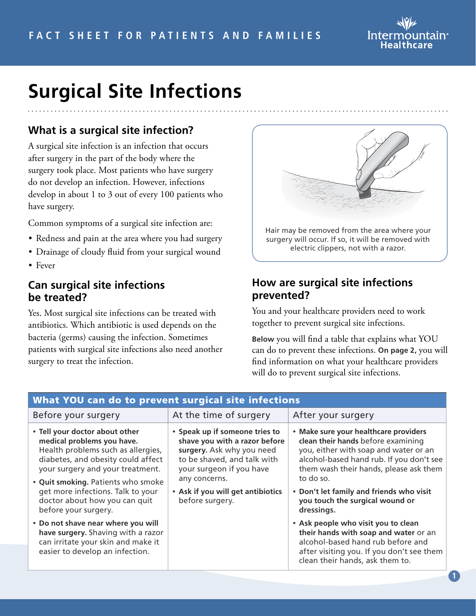

# **Surgical Site Infections**

## **What is a surgical site infection?**

A surgical site infection is an infection that occurs after surgery in the part of the body where the surgery took place. Most patients who have surgery do not develop an infection. However, infections develop in about 1 to 3 out of every 100 patients who have surgery.

Common symptoms of a surgical site infection are:

- Redness and pain at the area where you had surgery
- Drainage of cloudy fluid from your surgical wound
- Fever

#### **Can surgical site infections be treated?**

Yes. Most surgical site infections can be treated with antibiotics. Which antibiotic is used depends on the bacteria (germs) causing the infection. Sometimes patients with surgical site infections also need another surgery to treat the infection.



### **How are surgical site infections prevented?**

You and your healthcare providers need to work together to prevent surgical site infections.

**Below** you will find a table that explains what YOU can do to prevent these infections. **On page 2,** you will find information on what your healthcare providers will do to prevent surgical site infections.

|                                                                                                                                                                                                                                                                                                                  | What YOU can do to prevent surgical site infections<br>After your surgery<br>At the time of surgery<br>• Speak up if someone tries to<br>• Make sure your healthcare providers<br>clean their hands before examining<br>shave you with a razor before<br>you, either with soap and water or an<br>surgery. Ask why you need<br>to be shaved, and talk with<br>alcohol-based hand rub. If you don't see |                                                                                                                                                                                                   |  |  |
|------------------------------------------------------------------------------------------------------------------------------------------------------------------------------------------------------------------------------------------------------------------------------------------------------------------|--------------------------------------------------------------------------------------------------------------------------------------------------------------------------------------------------------------------------------------------------------------------------------------------------------------------------------------------------------------------------------------------------------|---------------------------------------------------------------------------------------------------------------------------------------------------------------------------------------------------|--|--|
| Before your surgery                                                                                                                                                                                                                                                                                              |                                                                                                                                                                                                                                                                                                                                                                                                        |                                                                                                                                                                                                   |  |  |
| • Tell your doctor about other<br>medical problems you have.<br>Health problems such as allergies,<br>diabetes, and obesity could affect<br>your surgery and your treatment.<br>• Quit smoking. Patients who smoke<br>get more infections. Talk to your<br>doctor about how you can quit<br>before your surgery. | your surgeon if you have<br>any concerns.<br>• Ask if you will get antibiotics<br>before surgery.                                                                                                                                                                                                                                                                                                      | them wash their hands, please ask them<br>to do so.<br>• Don't let family and friends who visit<br>you touch the surgical wound or<br>dressings.                                                  |  |  |
| • Do not shave near where you will<br>have surgery. Shaving with a razor<br>can irritate your skin and make it<br>easier to develop an infection.                                                                                                                                                                |                                                                                                                                                                                                                                                                                                                                                                                                        | • Ask people who visit you to clean<br>their hands with soap and water or an<br>alcohol-based hand rub before and<br>after visiting you. If you don't see them<br>clean their hands, ask them to. |  |  |